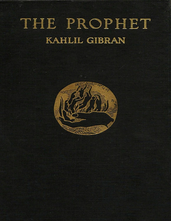# THE PROPHET **KAHLIL GIBRAN**

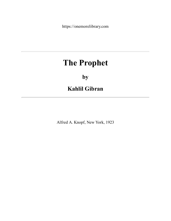https://onemorelibrary.com

# **The Prophet**

# **by**

# **Kahlil Gibran**

Alfred A. Knopf, New York, 1923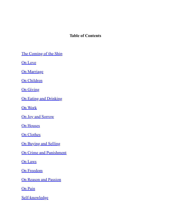#### **Table of Contents**

[The Coming of the Ship](#page-4-0)

[On Love](#page-8-0)

[On Marriage](#page-4-1)

[On Children](#page-11-0)

**[On Giving](#page-12-0)** 

[On Eating and Drinking](#page-15-0)

[On Work](#page-16-0)

[On Joy and Sorrow](#page-18-0)

[On Houses](#page-19-0)

[On Clothes](#page-22-0)

[On Buying and Selling](#page-23-0)

[On Crime and Punishment](#page-24-0)

[On Laws](#page-27-0)

[On Freedom](#page-29-0)

[On Reason and Passion](#page-30-0)

[On Pain](#page-32-0)

[Self-knowledge](#page-33-0)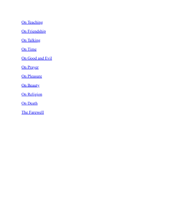[On Teaching](#page-34-0)

[On Friendship](#page-35-0)

[On Talking](#page-36-0)

[On Time](#page-37-0)

[On Good and Evil](#page-38-0)

[On Prayer](#page-40-0)

[On Pleasure](#page-41-0)

**[On Beauty](#page-44-0)** 

[On Religion](#page-46-0)

[On Death](#page-47-0)

[The Farewell](#page-49-0)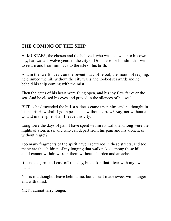# <span id="page-4-1"></span><span id="page-4-0"></span>**THE COMING OF THE SHIP**

ALMUSTAFA, the chosen and the beloved, who was a dawn unto his own day, had waited twelve years in the city of Orphalese for his ship that was to return and bear him back to the isle of his birth.

And in the twelfth year, on the seventh day of Ielool, the month of reaping, he climbed the hill without the city walls and looked seaward; and he beheld his ship coming with the mist.

Then the gates of his heart were flung open, and his joy flew far over the sea. And he closed his eyes and prayed in the silences of his soul.

BUT as he descended the hill, a sadness came upon him, and he thought in his heart: How shall I go in peace and without sorrow? Nay, not without a wound in the spirit shall I leave this city.

Long were the days of pain I have spent within its walls, and long were the nights of aloneness; and who can depart from his pain and his aloneness without regret?

Too many fragments of the spirit have I scattered in these streets, and too many are the children of my longing that walk naked among these hills, and I cannot withdraw from them without a burden and an ache.

It is not a garment I cast off this day, but a skin that I tear with my own hands.

Nor is it a thought I leave behind me, but a heart made sweet with hunger and with thirst.

YET I cannot tarry longer.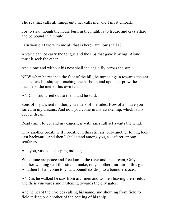The sea that calls all things unto her calls me, and I must embark.

For to stay, though the hours burn in the night, is to freeze and crystallize and be bound in a mould.

Fain would I take with me all that is here. But how shall I?

A voice cannot carry the tongue and the lips that gave it wings. Alone must it seek the ether.

And alone and without his nest shall the eagle fly across the sun.

NOW when he reached the foot of the hill, he turned again towards the sea, and he saw his ship approaching the harbour, and upon her prow the mariners, the men of his own land.

AND his soul cried out to them, and he said:

Sons of my ancient mother, you riders of the tides, How often have you sailed in my dreams. And now you come in my awakening, which is my deeper dream.

Ready am I to go, and my eagerness with sails full set awaits the wind.

Only another breath will I breathe in this still air, only another loving look cast backward, And then I shall stand among you, a seafarer among seafarers.

And you, vast sea, sleeping mother,

Who alone are peace and freedom to the river and the stream, Only another winding will this stream make, only another murmur in this glade, And then I shall come to you, a boundless drop to a boundless ocean.

AND as he walked he saw from afar men and women leaving their fields and their vineyards and hastening towards the city gates.

And he heard their voices calling his name, and shouting from field to field telling one another of the coming of his ship.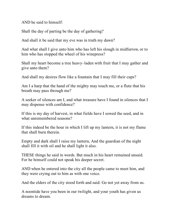AND he said to himself:

Shall the day of parting be the day of gathering?

And shall it be said that my eve was in truth my dawn?

And what shall I give unto him who has left his slough in midfurrow, or to him who has stopped the wheel of his winepress?

Shall my heart become a tree heavy–laden with fruit that I may gather and give unto them?

And shall my desires flow like a fountain that I may fill their cups?

Am I a harp that the hand of the mighty may touch me, or a flute that his breath may pass through me?

A seeker of silences am I, and what treasure have I found in silences that I may dispense with confidence?

If this is my day of harvest, in what fields have I sowed the seed, and in what unremembered seasons?

If this indeed be the hour in which I lift up my lantern, it is not my flame that shall burn therein.

Empty and dark shall I raise my lantern, And the guardian of the night shall fill it with oil and he shall light it also.

THESE things he said in words. But much in his heart remained unsaid. For he himself could not speak his deeper secret.

AND when he entered into the city all the people came to meet him, and they were crying out to him as with one voice.

And the elders of the city stood forth and said: Go not yet away from us.

A noontide have you been in our twilight, and your youth has given us dreams to dream.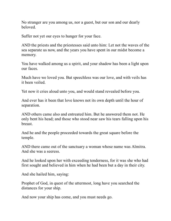No stranger are you among us, nor a guest, but our son and our dearly beloved.

Suffer not yet our eyes to hunger for your face.

AND the priests and the priestesses said unto him: Let not the waves of the sea separate us now, and the years you have spent in our midst become a memory.

You have walked among us a spirit, and your shadow has been a light upon our faces.

Much have we loved you. But speechless was our love, and with veils has it been veiled.

Yet now it cries aloud unto you, and would stand revealed before you.

And ever has it been that love knows not its own depth until the hour of separation.

AND others came also and entreated him. But he answered them not. He only bent his head; and those who stood near saw his tears falling upon his breast.

And he and the people proceeded towards the great square before the temple.

AND there came out of the sanctuary a woman whose name was Almitra. And she was a seeress.

And he looked upon her with exceeding tenderness, for it was she who had first sought and believed in him when he had been but a day in their city.

And she hailed him, saying:

Prophet of God, in quest of the uttermost, long have you searched the distances for your ship.

And now your ship has come, and you must needs go.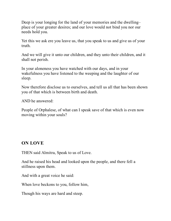Deep is your longing for the land of your memories and the dwelling– place of your greater desires; and our love would not bind you nor our needs hold you.

Yet this we ask ere you leave us, that you speak to us and give us of your truth.

And we will give it unto our children, and they unto their children, and it shall not perish.

In your aloneness you have watched with our days, and in your wakefulness you have listened to the weeping and the laughter of our sleep.

Now therefore disclose us to ourselves, and tell us all that has been shown you of that which is between birth and death.

AND he answered:

People of Orphalese, of what can I speak save of that which is even now moving within your souls?

#### <span id="page-8-0"></span>**ON LOVE**

THEN said Almitra, Speak to us of Love.

And he raised his head and looked upon the people, and there fell a stillness upon them.

And with a great voice he said:

When love beckons to you, follow him,

Though his ways are hard and steep.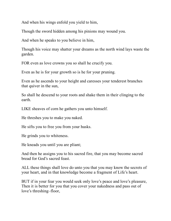And when his wings enfold you yield to him,

Though the sword hidden among his pinions may wound you.

And when he speaks to you believe in him,

Though his voice may shatter your dreams as the north wind lays waste the garden.

FOR even as love crowns you so shall he crucify you.

Even as he is for your growth so is he for your pruning.

Even as he ascends to your height and caresses your tenderest branches that quiver in the sun,

So shall he descend to your roots and shake them in their clinging to the earth.

LIKE sheaves of corn he gathers you unto himself.

He threshes you to make you naked.

He sifts you to free you from your husks.

He grinds you to whiteness.

He kneads you until you are pliant;

And then he assigns you to his sacred fire, that you may become sacred bread for God's sacred feast.

ALL these things shall love do unto you that you may know the secrets of your heart, and in that knowledge become a fragment of Life's heart.

BUT if in your fear you would seek only love's peace and love's pleasure, Then it is better for you that you cover your nakedness and pass out of love's threshing–floor,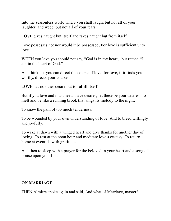Into the seasonless world where you shall laugh, but not all of your laughter, and weep, but not all of your tears.

LOVE gives naught but itself and takes naught but from itself.

Love possesses not nor would it be possessed; For love is sufficient unto love.

WHEN you love you should not say, "God is in my heart," but rather, "I am in the heart of God."

And think not you can direct the course of love, for love, if it finds you worthy, directs your course.

LOVE has no other desire but to fulfill itself.

But if you love and must needs have desires, let these be your desires: To melt and be like a running brook that sings its melody to the night.

To know the pain of too much tenderness.

To be wounded by your own understanding of love; And to bleed willingly and joyfully.

To wake at dawn with a winged heart and give thanks for another day of loving; To rest at the noon hour and meditate love's ecstasy; To return home at eventide with gratitude;

And then to sleep with a prayer for the beloved in your heart and a song of praise upon your lips.

#### **ON MARRIAGE**

THEN Almitra spoke again and said, And what of Marriage, master?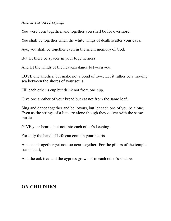And he answered saying:

You were born together, and together you shall be for evermore.

You shall be together when the white wings of death scatter your days.

Aye, you shall be together even in the silent memory of God.

But let there be spaces in your togetherness.

And let the winds of the heavens dance between you.

LOVE one another, but make not a bond of love: Let it rather be a moving sea between the shores of your souls.

Fill each other's cup but drink not from one cup.

Give one another of your bread but eat not from the same loaf.

Sing and dance together and be joyous, but let each one of you be alone, Even as the strings of a lute are alone though they quiver with the same music.

GIVE your hearts, but not into each other's keeping.

For only the hand of Life can contain your hearts.

And stand together yet not too near together: For the pillars of the temple stand apart,

And the oak tree and the cypress grow not in each other's shadow.

#### <span id="page-11-0"></span>**ON CHILDREN**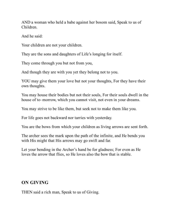AND a woman who held a babe against her bosom said, Speak to us of Children.

And he said:

Your children are not your children.

They are the sons and daughters of Life's longing for itself.

They come through you but not from you,

And though they are with you yet they belong not to you.

YOU may give them your love but not your thoughts, For they have their own thoughts.

You may house their bodies but not their souls, For their souls dwell in the house of to–morrow, which you cannot visit, not even in your dreams.

You may strive to be like them, but seek not to make them like you.

For life goes not backward nor tarries with yesterday.

You are the bows from which your children as living arrows are sent forth.

The archer sees the mark upon the path of the infinite, and He bends you with His might that His arrows may go swift and far.

Let your bending in the Archer's hand be for gladness; For even as He loves the arrow that flies, so He loves also the bow that is stable.

# <span id="page-12-0"></span>**ON GIVING**

THEN said a rich man, Speak to us of Giving.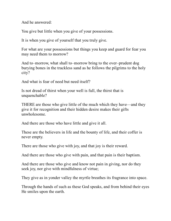And he answered:

You give but little when you give of your possessions.

It is when you give of yourself that you truly give.

For what are your possessions but things you keep and guard for fear you may need them to morrow?

And to–morrow, what shall to–morrow bring to the over–prudent dog burying bones in the trackless sand as he follows the pilgrims to the holy city?

And what is fear of need but need itself?

Is not dread of thirst when your well is full, the thirst that is unquenchable?

THERE are those who give little of the much which they have—and they give it for recognition and their hidden desire makes their gifts unwholesome.

And there are those who have little and give it all.

These are the believers in life and the bounty of life, and their coffer is never empty.

There are those who give with joy, and that joy is their reward.

And there are those who give with pain, and that pain is their baptism.

And there are those who give and know not pain in giving, nor do they seek joy, nor give with mindfulness of virtue;

They give as in yonder valley the myrtle breathes its fragrance into space.

Through the hands of such as these God speaks, and from behind their eyes He smiles upon the earth.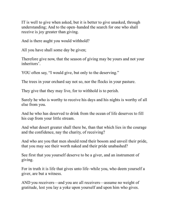IT is well to give when asked, but it is better to give unasked, through understanding; And to the open–handed the search for one who shall receive is joy greater than giving.

And is there aught you would withhold?

All you have shall some day be given;

Therefore give now, that the season of giving may be yours and not your inheritors'.

YOU often say, "I would give, but only to the deserving."

The trees in your orchard say not so, nor the flocks in your pasture.

They give that they may live, for to withhold is to perish.

Surely he who is worthy to receive his days and his nights is worthy of all else from you.

And he who has deserved to drink from the ocean of life deserves to fill his cup from your little stream.

And what desert greater shall there be, than that which lies in the courage and the confidence, nay the charity, of receiving?

And who are you that men should rend their bosom and unveil their pride, that you may see their worth naked and their pride unabashed?

See first that you yourself deserve to be a giver, and an instrument of giving.

For in truth it is life that gives unto life–while you, who deem yourself a giver, are but a witness.

AND you receivers—and you are all receivers—assume no weight of gratitude, lest you lay a yoke upon yourself and upon him who gives.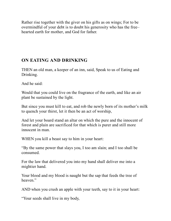Rather rise together with the giver on his gifts as on wings; For to be overmindful of your debt is to doubt his generosity who has the free– hearted earth for mother, and God for father.

# <span id="page-15-0"></span>**ON EATING AND DRINKING**

THEN an old man, a keeper of an inn, said, Speak to us of Eating and Drinking.

And he said:

Would that you could live on the fragrance of the earth, and like an air plant be sustained by the light.

But since you must kill to eat, and rob the newly born of its mother's milk to quench your thirst, let it then be an act of worship,

And let your board stand an altar on which the pure and the innocent of forest and plain are sacrificed for that which is purer and still more innocent in man.

WHEN you kill a beast say to him in your heart:

"By the same power that slays you, I too am slain; and I too shall be consumed.

For the law that delivered you into my hand shall deliver me into a mightier hand.

Your blood and my blood is naught but the sap that feeds the tree of heaven."

AND when you crush an apple with your teeth, say to it in your heart:

"Your seeds shall live in my body,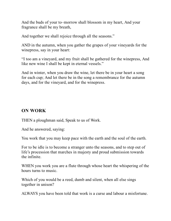And the buds of your to–morrow shall blossom in my heart, And your fragrance shall be my breath,

And together we shall rejoice through all the seasons."

AND in the autumn, when you gather the grapes of your vineyards for the winepress, say in your heart:

"I too am a vineyard, and my fruit shall be gathered for the winepress, And like new wine I shall be kept in eternal vessels."

And in winter, when you draw the wine, let there be in your heart a song for each cup; And let there be in the song a remembrance for the autumn days, and for the vineyard, and for the winepress.

#### <span id="page-16-0"></span>**ON WORK**

THEN a ploughman said, Speak to us of Work.

And he answered, saying:

You work that you may keep pace with the earth and the soul of the earth.

For to be idle is to become a stranger unto the seasons, and to step out of life's procession that marches in majesty and proud submission towards the infinite.

WHEN you work you are a flute through whose heart the whispering of the hours turns to music.

Which of you would be a reed, dumb and silent, when all else sings together in unison?

ALWAYS you have been told that work is a curse and labour a misfortune.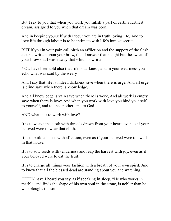But I say to you that when you work you fulfill a part of earth's furthest dream, assigned to you when that dream was born,

And in keeping yourself with labour you are in truth loving life, And to love life through labour is to be intimate with life's inmost secret.

BUT if you in your pain call birth an affliction and the support of the flesh a curse written upon your brow, then I answer that naught but the sweat of your brow shall wash away that which is written.

YOU have been told also that life is darkness, and in your weariness you echo what was said by the weary.

And I say that life is indeed darkness save when there is urge, And all urge is blind save when there is know ledge.

And all knowledge is vain save when there is work, And all work is empty save when there is love; And when you work with love you bind your self to yourself, and to one another, and to God.

AND what is it to work with love?

It is to weave the cloth with threads drawn from your heart, even as if your beloved were to wear that cloth.

It is to build a house with affection, even as if your beloved were to dwell in that house.

It is to sow seeds with tenderness and reap the harvest with joy, even as if your beloved were to eat the fruit.

It is to charge all things your fashion with a breath of your own spirit, And to know that all the blessed dead are standing about you and watching.

OFTEN have I heard you say, as if speaking in sleep, "He who works in marble, and finds the shape of his own soul in the stone, is nobler than he who ploughs the soil.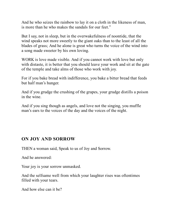And he who seizes the rainbow to lay it on a cloth in the likeness of man, is more than he who makes the sandals for our feet."

But I say, not in sleep, but in the overwakefulness of noontide, that the wind speaks not more sweetly to the giant oaks than to the least of all the blades of grass; And he alone is great who turns the voice of the wind into a song made sweeter by his own loving.

WORK is love made visible. And if you cannot work with love but only with distaste, it is better that you should leave your work and sit at the gate of the temple and take alms of those who work with joy.

For if you bake bread with indifference, you bake a bitter bread that feeds but half man's hunger.

And if you grudge the crushing of the grapes, your grudge distills a poison in the wine.

And if you sing though as angels, and love not the singing, you muffle man's ears to the voices of the day and the voices of the night.

#### <span id="page-18-0"></span>**ON JOY AND SORROW**

THEN a woman said, Speak to us of Joy and Sorrow.

And he answered:

Your joy is your sorrow unmasked.

And the selfsame well from which your laughter rises was oftentimes filled with your tears.

And how else can it be?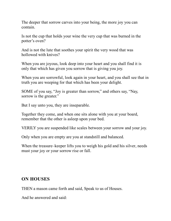The deeper that sorrow carves into your being, the more joy you can contain.

Is not the cup that holds your wine the very cup that was burned in the potter's oven?

And is not the lute that soothes your spirit the very wood that was hollowed with knives?

When you are joyous, look deep into your heart and you shall find it is only that which has given you sorrow that is giving you joy.

When you are sorrowful, look again in your heart, and you shall see that in truth you are weeping for that which has been your delight.

SOME of you say, "Joy is greater than sorrow," and others say, "Nay, sorrow is the greater."

But I say unto you, they are inseparable.

Together they come, and when one sits alone with you at your board, remember that the other is asleep upon your bed.

VERILY you are suspended like scales between your sorrow and your joy.

Only when you are empty are you at standstill and balanced.

When the treasure–keeper lifts you to weigh his gold and his silver, needs must your joy or your sorrow rise or fall.

#### <span id="page-19-0"></span>**ON HOUSES**

THEN a mason came forth and said, Speak to us of Houses.

And he answered and said: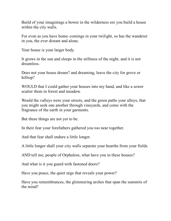Build of your imaginings a bower in the wilderness ere you build a house within the city walls.

For even as you have home–comings in your twilight, so has the wanderer in you, the ever distant and alone.

Your house is your larger body.

It grows in the sun and sleeps in the stillness of the night; and it is not dreamless.

Does not your house dream? and dreaming, leave the city for grove or hilltop?

WOULD that I could gather your houses into my hand, and like a sower scatter them in forest and meadow.

Would the valleys were your streets, and the green paths your alleys, that you might seek one another through vineyards, and come with the fragrance of the earth in your garments.

But these things are not yet to be.

In their fear your forefathers gathered you too near together.

And that fear shall endure a little longer.

A little longer shall your city walls separate your hearths from your fields.

AND tell me, people of Orphalese, what have you in these houses?

And what is it you guard with fastened doors?

Have you peace, the quiet urge that reveals your power?

Have you remembrances, the glimmering arches that span the summits of the mind?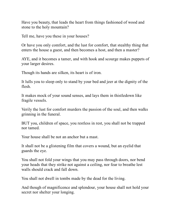Have you beauty, that leads the heart from things fashioned of wood and stone to the holy mountain?

Tell me, have you these in your houses?

Or have you only comfort, and the lust for comfort, that stealthy thing that enters the house a guest, and then becomes a host, and then a master?

AYE, and it becomes a tamer, and with hook and scourge makes puppets of your larger desires.

Though its hands are silken, its heart is of iron.

It lulls you to sleep only to stand by your bed and jeer at the dignity of the flesh.

It makes mock of your sound senses, and lays them in thistledown like fragile vessels.

Verily the lust for comfort murders the passion of the soul, and then walks grinning in the funeral.

BUT you, children of space, you restless in rest, you shall not be trapped nor tamed.

Your house shall be not an anchor but a mast.

It shall not be a glistening film that covers a wound, but an eyelid that guards the eye.

You shall not fold your wings that you may pass through doors, nor bend your heads that they strike not against a ceiling, nor fear to breathe lest walls should crack and fall down.

You shall not dwell in tombs made by the dead for the living.

And though of magnificence and splendour, your house shall not hold your secret nor shelter your longing.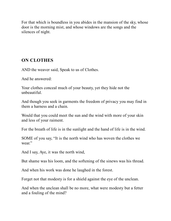For that which is boundless in you abides in the mansion of the sky, whose door is the morning mist, and whose windows are the songs and the silences of night.

#### <span id="page-22-0"></span>**ON CLOTHES**

AND the weaver said, Speak to us of Clothes.

And he answered:

Your clothes conceal much of your beauty, yet they hide not the unbeautiful.

And though you seek in garments the freedom of privacy you may find in them a harness and a chain.

Would that you could meet the sun and the wind with more of your skin and less of your raiment.

For the breath of life is in the sunlight and the hand of life is in the wind.

SOME of you say, "It is the north wind who has woven the clothes we wear."

And I say, Aye, it was the north wind,

But shame was his loom, and the softening of the sinews was his thread.

And when his work was done he laughed in the forest.

Forget not that modesty is for a shield against the eye of the unclean.

And when the unclean shall be no more, what were modesty but a fetter and a fouling of the mind?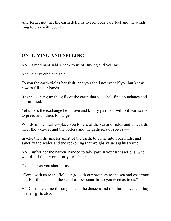And forget not that the earth delights to feel your bare feet and the winds long to play with your hair.

# <span id="page-23-0"></span>**ON BUYING AND SELLING**

AND a merchant said, Speak to us of Buying and Selling.

And he answered and said:

To you the earth yields her fruit, and you shall not want if you but know how to fill your hands.

It is in exchanging the gifts of the earth that you shall find abundance and be satisfied.

Yet unless the exchange be in love and kindly justice it will but lead some to greed and others to hunger.

WHEN in the market–place you toilers of the sea and fields and vineyards meet the weavers and the potters and the gatherers of spices,—

Invoke then the master spirit of the earth, to come into your midst and sanctify the scales and the reckoning that weighs value against value.

AND suffer not the barren–handed to take part in your transactions, who would sell their words for your labour.

To such men you should say:

"Come with us to the field, or go with our brothers to the sea and cast your net; For the land and the sea shall be bountiful to you even as to us."

AND if there come the singers and the dancers and the flute players,— buy of their gifts also.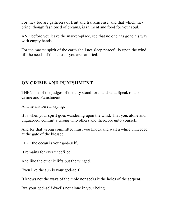For they too are gatherers of fruit and frankincense, and that which they bring, though fashioned of dreams, is raiment and food for your soul.

AND before you leave the market–place, see that no one has gone his way with empty hands.

For the master spirit of the earth shall not sleep peacefully upon the wind till the needs of the least of you are satisfied.

#### <span id="page-24-0"></span>**ON CRIME AND PUNISHMENT**

THEN one of the judges of the city stood forth and said, Speak to us of Crime and Punishment.

And he answered, saying:

It is when your spirit goes wandering upon the wind, That you, alone and unguarded, commit a wrong unto others and therefore unto yourself.

And for that wrong committed must you knock and wait a while unheeded at the gate of the blessed.

LIKE the ocean is your god–self;

It remains for ever undefiled.

And like the ether it lifts but the winged.

Even like the sun is your god–self;

It knows not the ways of the mole nor seeks it the holes of the serpent.

But your god–self dwells not alone in your being.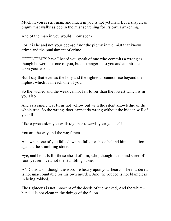Much in you is still man, and much in you is not yet man, But a shapeless pigmy that walks asleep in the mist searching for its own awakening.

And of the man in you would I now speak.

For it is he and not your god–self nor the pigmy in the mist that knows crime and the punishment of crime.

OFTENTIMES have I heard you speak of one who commits a wrong as though he were not one of you, but a stranger unto you and an intruder upon your world.

But I say that even as the holy and the righteous cannot rise beyond the highest which is in each one of you,

So the wicked and the weak cannot fall lower than the lowest which is in you also.

And as a single leaf turns not yellow but with the silent knowledge of the whole tree, So the wrong–doer cannot do wrong without the hidden will of you all.

Like a procession you walk together towards your god–self.

You are the way and the wayfarers.

And when one of you falls down he falls for those behind him, a caution against the stumbling stone.

Aye, and he falls for those ahead of him, who, though faster and surer of foot, yet removed not the stumbling stone.

AND this also, though the word lie heavy upon your hearts: The murdered is not unaccountable for his own murder, And the robbed is not blameless in being robbed.

The righteous is not innocent of the deeds of the wicked, And the white– handed is not clean in the doings of the felon.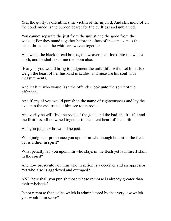Yea, the guilty is oftentimes the victim of the injured, And still more often the condemned is the burden bearer for the guiltless and unblamed.

You cannot separate the just from the unjust and the good from the wicked; For they stand together before the face of the sun even as the black thread and the white are woven together.

And when the black thread breaks, the weaver shall look into the whole cloth, and he shall examine the loom also.

IF any of you would bring to judgment the unfaithful wife, Let him also weigh the heart of her husband in scales, and measure his soul with measurements.

And let him who would lash the offender look unto the spirit of the offended.

And if any of you would punish in the name of righteousness and lay the axe unto the evil tree, let him see to its roots;

And verily he will find the roots of the good and the bad, the fruitful and the fruitless, all entwined together in the silent heart of the earth.

And you judges who would be just.

What judgment pronounce you upon him who though honest in the flesh yet is a thief in spirit?

What penalty lay you upon him who slays in the flesh yet is himself slain in the spirit?

And how prosecute you him who in action is a deceiver and an oppressor, Yet who also is aggrieved and outraged?

AND how shall you punish those whose remorse is already greater than their misdeeds?

Is not remorse the justice which is administered by that very law which you would fain serve?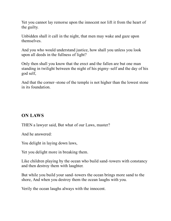Yet you cannot lay remorse upon the innocent nor lift it from the heart of the guilty.

Unbidden shall it call in the night, that men may wake and gaze upon themselves.

And you who would understand justice, how shall you unless you look upon all deeds in the fullness of light?

Only then shall you know that the erect and the fallen are but one man standing in twilight between the night of his pigmy–self and the day of his god self,

And that the corner–stone of the temple is not higher than the lowest stone in its foundation.

#### <span id="page-27-0"></span>**ON LAWS**

THEN a lawyer said, But what of our Laws, master?

And he answered:

You delight in laying down laws,

Yet you delight more in breaking them.

Like children playing by the ocean who build sand–towers with constancy and then destroy them with laughter.

But while you build your sand–towers the ocean brings more sand to the shore, And when you destroy them the ocean laughs with you.

Verily the ocean laughs always with the innocent.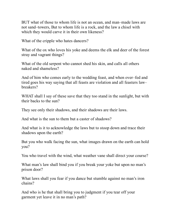BUT what of those to whom life is not an ocean, and man–made laws are not sand–towers, But to whom life is a rock, and the law a chisel with which they would carve it in their own likeness?

What of the cripple who hates dancers?

What of the ox who loves his yoke and deems the elk and deer of the forest stray and vagrant things?

What of the old serpent who cannot shed his skin, and calls all others naked and shameless?

And of him who comes early to the wedding feast, and when over–fed and tired goes his way saying that all feasts are violation and all feasters law– breakers?

WHAT shall I say of these save that they too stand in the sunlight, but with their backs to the sun?

They see only their shadows, and their shadows are their laws.

And what is the sun to them but a caster of shadows?

And what is it to acknowledge the laws but to stoop down and trace their shadows upon the earth?

But you who walk facing the sun, what images drawn on the earth can hold you?

You who travel with the wind, what weather vane shall direct your course?

What man's law shall bind you if you break your yoke but upon no man's prison door?

What laws shall you fear if you dance but stumble against no man's iron chains?

And who is he that shall bring you to judgment if you tear off your garment yet leave it in no man's path?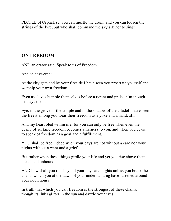PEOPLE of Orphalese, you can muffle the drum, and you can loosen the strings of the lyre, but who shall command the skylark not to sing?

#### <span id="page-29-0"></span>**ON FREEDOM**

AND an orator said, Speak to us of Freedom.

And he answered:

At the city gate and by your fireside I have seen you prostrate yourself and worship your own freedom,

Even as slaves humble themselves before a tyrant and praise him though he slays them.

Aye, in the grove of the temple and in the shadow of the citadel I have seen the freest among you wear their freedom as a yoke and a handcuff.

And my heart bled within me; for you can only be free when even the desire of seeking freedom becomes a harness to you, and when you cease to speak of freedom as a goal and a fulfillment.

YOU shall be free indeed when your days are not without a care nor your nights without a want and a grief,

But rather when these things girdle your life and yet you rise above them naked and unbound.

AND how shall you rise beyond your days and nights unless you break the chains which you at the dawn of your understanding have fastened around your noon hour?

In truth that which you call freedom is the strongest of these chains, though its links glitter in the sun and dazzle your eyes.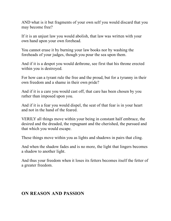AND what is it but fragments of your own self you would discard that you may become free?

If it is an unjust law you would abolish, that law was written with your own hand upon your own forehead.

You cannot erase it by burning your law books nor by washing the foreheads of your judges, though you pour the sea upon them.

And if it is a despot you would dethrone, see first that his throne erected within you is destroyed.

For how can a tyrant rule the free and the proud, but for a tyranny in their own freedom and a shame in their own pride?

And if it is a care you would cast off, that care has been chosen by you rather than imposed upon you.

And if it is a fear you would dispel, the seat of that fear is in your heart and not in the hand of the feared.

VERILY all things move within your being in constant half embrace, the desired and the dreaded, the repugnant and the cherished, the pursued and that which you would escape.

These things move within you as lights and shadows in pairs that cling.

And when the shadow fades and is no more, the light that lingers becomes a shadow to another light.

And thus your freedom when it loses its fetters becomes itself the fetter of a greater freedom.

#### <span id="page-30-0"></span>**ON REASON AND PASSION**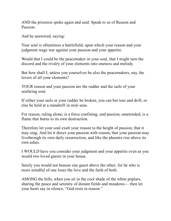AND the priestess spoke again and said: Speak to us of Reason and Passion.

And he answered, saying:

Your soul is oftentimes a battlefield, upon which your reason and your judgment wage war against your passion and your appetite.

Would that I could be the peacemaker in your soul, that I might turn the discord and the rivalry of your elements into oneness and melody.

But how shall I, unless you yourselves be also the peacemakers, nay, the lovers of all your elements?

YOUR reason and your passion are the rudder and the sails of your seafaring soul.

If either your sails or your rudder be broken, you can but toss and drift, or else be held at a standstill in mid–seas.

For reason, ruling alone, is a force confining; and passion, unattended, is a flame that burns to its own destruction.

Therefore let your soul exalt your reason to the height of passion, that it may sing; And let it direct your passion with reason, that your passion may livethrough its own daily resurrection, and like the phoenix rise above its own ashes.

I WOULD have you consider your judgment and your appetite even as you would two loved guests in your house.

Surely you would not honour one guest above the other; for he who is more mindful of one loses the love and the faith of both.

AMONG the hills, when you sit in the cool shade of the white poplars, sharing the peace and serenity of distant fields and meadows— then let your heart say in silence, "God rests in reason."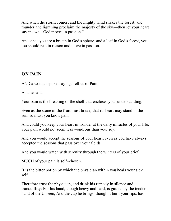And when the storm comes, and the mighty wind shakes the forest, and thunder and lightning proclaim the majesty of the sky,—then let your heart say in awe, "God moves in passion."

And since you are a breath in God's sphere, and a leaf in God's forest, you too should rest in reason and move in passion.

# <span id="page-32-0"></span>**ON PAIN**

AND a woman spoke, saying, Tell us of Pain.

And he said:

Your pain is the breaking of the shell that encloses your understanding.

Even as the stone of the fruit must break, that its heart may stand in the sun, so must you know pain.

And could you keep your heart in wonder at the daily miracles of your life, your pain would not seem less wondrous than your joy;

And you would accept the seasons of your heart, even as you have always accepted the seasons that pass over your fields.

And you would watch with serenity through the winters of your grief.

MUCH of your pain is self–chosen.

It is the bitter potion by which the physician within you heals your sick self.

Therefore trust the physician, and drink his remedy in silence and tranquillity: For his hand, though heavy and hard, is guided by the tender hand of the Unseen, And the cup he brings, though it burn your lips, has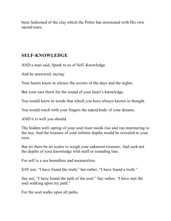been fashioned of the clay which the Potter has moistened with His own sacred tears.

#### <span id="page-33-0"></span>**SELF-KNOWLEDGE**

AND a man said, Speak to us of Self–Knowledge.

And he answered, saying:

Your hearts know in silence the secrets of the days and the nights.

But your ears thirst for the sound of your heart's knowledge.

You would know in words that which you have always known in thought.

You would touch with your fingers the naked body of your dreams.

AND it is well you should.

The hidden well–spring of your soul must needs rise and run murmuring to the sea; And the treasure of your infinite depths would be revealed to your eyes.

But let there be no scales to weigh your unknown treasure; And seek not the depths of your knowledge with staff or sounding line.

For self is a sea boundless and measureless.

SAY not, "I have found the truth," but rather, "I have found a truth."

Say not, "I have found the path of the soul." Say rather, "I have met the soul walking upon my path."

For the soul walks upon all paths.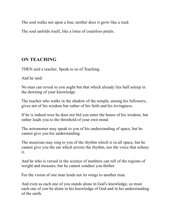The soul walks not upon a line, neither does it grow like a reed.

The soul unfolds itself, like a lotus of countless petals.

# <span id="page-34-0"></span>**ON TEACHING**

THEN said a teacher, Speak to us of Teaching.

And he said:

No man can reveal to you aught but that which already lies half asleep in the dawning of your knowledge.

The teacher who walks in the shadow of the temple, among his followers, gives not of his wisdom but rather of his faith and his lovingness.

If he is indeed wise he does not bid you enter the house of his wisdom, but rather leads you to the threshold of your own mind.

The astronomer may speak to you of his understanding of space, but he cannot give you his understanding.

The musician may sing to you of the rhythm which is in all space, but he cannot give you the ear which arrests the rhythm, nor the voice that echoes it.

And he who is versed in the science of numbers can tell of the regions of weight and measure, but he cannot conduct you thither.

For the vision of one man lends not its wings to another man.

And even as each one of you stands alone in God's knowledge, so must each one of you be alone in his knowledge of God and in his understanding of the earth.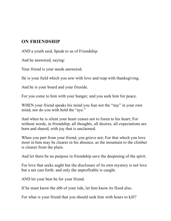#### <span id="page-35-0"></span>**ON FRIENDSHIP**

AND a youth said, Speak to us of Friendship.

And he answered, saying:

Your friend is your needs answered.

He is your field which you sow with love and reap with thanksgiving.

And he is your board and your fireside.

For you come to him with your hunger, and you seek him for peace.

WHEN your friend speaks his mind you fear not the "nay" in your own mind, nor do you with hold the "aye."

And when he is silent your heart ceases not to listen to his heart; For without words, in friendship, all thoughts, all desires, all expectations are born and shared, with joy that is unclaimed.

When you part from your friend, you grieve not; For that which you love most in him may be clearer in his absence, as the mountain to the climber is clearer from the plain.

And let there be no purpose in friendship save the deepening of the spirit.

For love that seeks aught but the disclosure of its own mystery is not love but a net cast forth: and only the unprofitable is caught.

AND let your best be for your friend.

If he must know the ebb of your tide, let him know its flood also.

For what is your friend that you should seek him with hours to kill?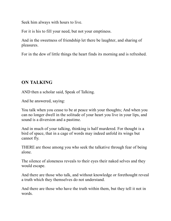Seek him always with hours to live.

For it is his to fill your need, but not your emptiness.

And in the sweetness of friendship let there be laughter, and sharing of pleasures.

For in the dew of little things the heart finds its morning and is refreshed.

# <span id="page-36-0"></span>**ON TALKING**

AND then a scholar said, Speak of Talking.

And he answered, saying:

You talk when you cease to be at peace with your thoughts; And when you can no longer dwell in the solitude of your heart you live in your lips, and sound is a diversion and a pastime.

And in much of your talking, thinking is half murdered. For thought is a bird of space, that in a cage of words may indeed unfold its wings but cannot fly.

THERE are those among you who seek the talkative through fear of being alone.

The silence of aloneness reveals to their eyes their naked selves and they would escape.

And there are those who talk, and without knowledge or forethought reveal a truth which they themselves do not understand.

And there are those who have the truth within them, but they tell it not in words.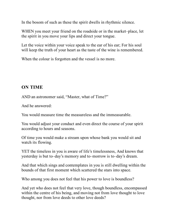In the bosom of such as these the spirit dwells in rhythmic silence.

WHEN you meet your friend on the roadside or in the market–place, let the spirit in you move your lips and direct your tongue.

Let the voice within your voice speak to the ear of his ear; For his soul will keep the truth of your heart as the taste of the wine is remembered.

When the colour is forgotten and the vessel is no more.

#### <span id="page-37-0"></span>**ON TIME**

AND an astronomer said, "Master, what of Time?"

And he answered:

You would measure time the measureless and the immeasurable.

You would adjust your conduct and even direct the course of your spirit according to hours and seasons.

Of time you would make a stream upon whose bank you would sit and watch its flowing.

YET the timeless in you is aware of life's timelessness, And knows that yesterday is but to–day's memory and to–morrow is to–day's dream.

And that which sings and contemplates in you is still dwelling within the bounds of that first moment which scattered the stars into space.

Who among you does not feel that his power to love is boundless?

And yet who does not feel that very love, though boundless, encompassed within the centre of his being, and moving not from love thought to love thought, nor from love deeds to other love deeds?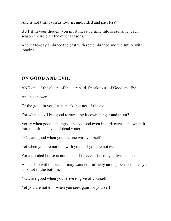And is not time even as love is, undivided and paceless?

BUT if in your thought you must measure time into seasons, let each season encircle all the other seasons,

And let to–day embrace the past with remembrance and the future with longing.

#### <span id="page-38-0"></span>**ON GOOD AND EVIL**

AND one of the elders of the city said, Speak to us of Good and Evil.

And he answered:

Of the good in you I can speak, but not of the evil.

For what is evil but good tortured by its own hunger and thirst?

Verily when good is hungry it seeks food even in dark caves, and when it thirsts it drinks even of dead waters.

YOU are good when you are one with yourself.

Yet when you are not one with yourself you are not evil.

For a divided house is not a den of thieves; it is only a divided house.

And a ship without rudder may wander aimlessly among perilous isles yet sink not to the bottom.

YOU are good when you strive to give of yourself.

Yet you are not evil when you seek gain for yourself.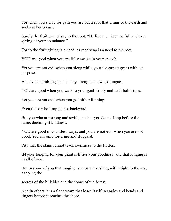For when you strive for gain you are but a root that clings to the earth and sucks at her breast.

Surely the fruit cannot say to the root, "Be like me, ripe and full and ever giving of your abundance."

For to the fruit giving is a need, as receiving is a need to the root.

YOU are good when you are fully awake in your speech.

Yet you are not evil when you sleep while your tongue staggers without purpose.

And even stumbling speech may strengthen a weak tongue.

YOU are good when you walk to your goal firmly and with bold steps.

Yet you are not evil when you go thither limping.

Even those who limp go not backward.

But you who are strong and swift, see that you do not limp before the lame, deeming it kindness.

YOU are good in countless ways, and you are not evil when you are not good, You are only loitering and sluggard.

Pity that the stags cannot teach swiftness to the turtles.

IN your longing for your giant self lies your goodness: and that longing is in all of you.

But in some of you that longing is a torrent rushing with might to the sea, carrying the

secrets of the hillsides and the songs of the forest.

And in others it is a flat stream that loses itself in angles and bends and lingers before it reaches the shore.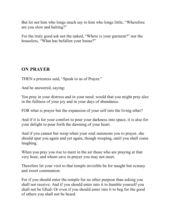But let not him who longs much say to him who longs little, "Wherefore are you slow and halting?"

For the truly good ask not the naked, "Where is your garment?" nor the houseless, "What has befallen your house?"

#### <span id="page-40-0"></span>**ON PRAYER**

THEN a priestess said, "Speak to us of Prayer."

And he answered, saying:

You pray in your distress and in your need; would that you might pray also in the fullness of your joy and in your days of abundance.

FOR what is prayer but the expansion of your self into the living ether?

And if it is for your comfort to pour your darkness into space, it is also for your delight to pour forth the dawning of your heart.

And if you cannot but weep when your soul summons you to prayer, she should spur you again and yet again, though weeping, until you shall come laughing.

When you pray you rise to meet in the air those who are praying at that very hour, and whom save in prayer you may not meet.

Therefore let your visit to that temple invisible be for naught but ecstasy and sweet communion.

For if you should enter the temple for no other purpose than asking you shall not receive: And if you should enter into it to humble yourself you shall not be lifted: Or even if you should enter into it to beg for the good of others you shall not be heard.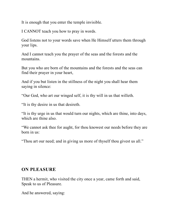It is enough that you enter the temple invisible.

I CANNOT teach you how to pray in words.

God listens not to your words save when He Himself utters them through your lips.

And I cannot teach you the prayer of the seas and the forests and the mountains.

But you who are born of the mountains and the forests and the seas can find their prayer in your heart,

And if you but listen in the stillness of the night you shall hear them saying in silence:

"Our God, who art our winged self, it is thy will in us that willeth.

"It is thy desire in us that desireth.

"It is thy urge in us that would turn our nights, which are thine, into days, which are thine also.

"We cannot ask thee for aught, for thou knowest our needs before they are born in us:

"Thou art our need; and in giving us more of thyself thou givest us all."

#### <span id="page-41-0"></span>**ON PLEASURE**

THEN a hermit, who visited the city once a year, came forth and said, Speak to us of Pleasure.

And he answered, saying: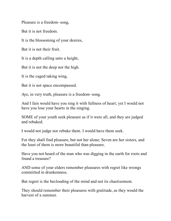Pleasure is a freedom–song,

But it is not freedom.

It is the blossoming of your desires,

But it is not their fruit.

It is a depth calling unto a height,

But it is not the deep nor the high.

It is the caged taking wing,

But it is not space encompassed.

Aye, in very truth, pleasure is a freedom–song.

And I fain would have you sing it with fullness of heart; yet I would not have you lose your hearts in the singing.

SOME of your youth seek pleasure as if it were all, and they are judged and rebuked.

I would not judge nor rebuke them. I would have them seek.

For they shall find pleasure, but not her alone; Seven are her sisters, and the least of them is more beautiful than pleasure.

Have you not heard of the man who was digging in the earth for roots and found a treasure?

AND some of your elders remember pleasures with regret like wrongs committed in drunkenness.

But regret is the beclouding of the mind and not its chastisement.

They should remember their pleasures with gratitude, as they would the harvest of a summer.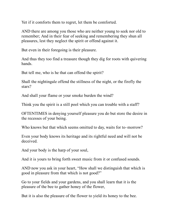Yet if it comforts them to regret, let them be comforted.

AND there are among you those who are neither young to seek nor old to remember; And in their fear of seeking and remembering they shun all pleasures, lest they neglect the spirit or offend against it.

But even in their foregoing is their pleasure.

And thus they too find a treasure though they dig for roots with quivering hands.

But tell me, who is he that can offend the spirit?

Shall the nightingale offend the stillness of the night, or the firefly the stars?

And shall your flame or your smoke burden the wind?

Think you the spirit is a still pool which you can trouble with a staff?

OFTENTIMES in denying yourself pleasure you do but store the desire in the recesses of your being.

Who knows but that which seems omitted to day, waits for to–morrow?

Even your body knows its heritage and its rightful need and will not be deceived.

And your body is the harp of your soul,

And it is yours to bring forth sweet music from it or confused sounds.

AND now you ask in your heart, "How shall we distinguish that which is good in pleasure from that which is not good?"

Go to your fields and your gardens, and you shall learn that it is the pleasure of the bee to gather honey of the flower,

But it is also the pleasure of the flower to yield its honey to the bee.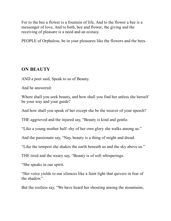For to the bee a flower is a fountain of life, And to the flower a bee is a messenger of love, And to both, bee and flower, the giving and the receiving of pleasure is a need and an ecstasy.

PEOPLE of Orphalese, be in your pleasures like the flowers and the bees.

#### <span id="page-44-0"></span>**ON BEAUTY**

AND a poet said, Speak to us of Beauty.

And he answered:

Where shall you seek beauty, and how shall you find her unless she herself be your way and your guide?

And how shall you speak of her except she be the weaver of your speech?

THE aggrieved and the injured say, "Beauty is kind and gentle.

"Like a young mother half–shy of her own glory she walks among us."

And the passionate say, "Nay, beauty is a thing of might and dread.

"Like the tempest she shakes the earth beneath us and the sky above us."

THE tired and the weary say, "Beauty is of soft whisperings.

"She speaks in our spirit.

"Her voice yields to our silences like a faint light that quivers in fear of the shadow."

But the restless say, "We have heard her shouting among the mountains,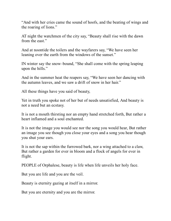"And with her cries came the sound of hoofs, and the beating of wings and the roaring of lions."

AT night the watchmen of the city say, "Beauty shall rise with the dawn from the east."

And at noontide the toilers and the wayfarers say, "We have seen her leaning over the earth from the windows of the sunset."

IN winter say the snow–bound, "She shall come with the spring leaping upon the hills."

And in the summer heat the reapers say, "We have seen her dancing with the autumn leaves, and we saw a drift of snow in her hair."

All these things have you said of beauty,

Yet in truth you spoke not of her but of needs unsatisfied, And beauty is not a need but an ecstasy.

It is not a mouth thirsting nor an empty hand stretched forth, But rather a heart inflamed and a soul enchanted.

It is not the image you would see nor the song you would hear, But rather an image you see though you close your eyes and a song you hear though you shut your ears.

It is not the sap within the furrowed bark, nor a wing attached to a claw, But rather a garden for ever in bloom and a flock of angels for ever in flight.

PEOPLE of Orphalese, beauty is life when life unveils her holy face.

But you are life and you are the veil.

Beauty is eternity gazing at itself in a mirror.

But you are eternity and you are the mirror.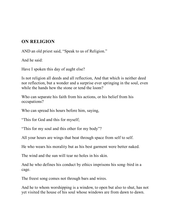#### <span id="page-46-0"></span>**ON RELIGION**

AND an old priest said, "Speak to us of Religion."

And he said:

Have I spoken this day of aught else?

Is not religion all deeds and all reflection, And that which is neither deed nor reflection, but a wonder and a surprise ever springing in the soul, even while the hands hew the stone or tend the loom?

Who can separate his faith from his actions, or his belief from his occupations?

Who can spread his hours before him, saying,

"This for God and this for myself;

"This for my soul and this other for my body"?

All your hours are wings that beat through space from self to self.

He who wears his morality but as his best garment were better naked.

The wind and the sun will tear no holes in his skin.

And he who defines his conduct by ethics imprisons his song–bird in a cage.

The freest song comes not through bars and wires.

And he to whom worshipping is a window, to open but also to shut, has not yet visited the house of his soul whose windows are from dawn to dawn.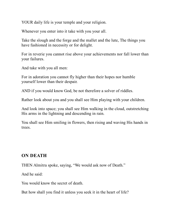YOUR daily life is your temple and your religion.

Whenever you enter into it take with you your all.

Take the slough and the forge and the mallet and the lute, The things you have fashioned in necessity or for delight.

For in reverie you cannot rise above your achievements nor fall lower than your failures.

And take with you all men:

For in adoration you cannot fly higher than their hopes nor humble yourself lower than their despair.

AND if you would know God, be not therefore a solver of riddles.

Rather look about you and you shall see Him playing with your children.

And look into space; you shall see Him walking in the cloud, outstretching His arms in the lightning and descending in rain.

You shall see Him smiling in flowers, then rising and waving His hands in trees.

# <span id="page-47-0"></span>**ON DEATH**

THEN Almitra spoke, saying, "We would ask now of Death."

And he said:

You would know the secret of death.

But how shall you find it unless you seek it in the heart of life?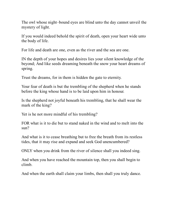The owl whose night–bound eyes are blind unto the day cannot unveil the mystery of light.

If you would indeed behold the spirit of death, open your heart wide unto the body of life.

For life and death are one, even as the river and the sea are one.

IN the depth of your hopes and desires lies your silent knowledge of the beyond; And like seeds dreaming beneath the snow your heart dreams of spring.

Trust the dreams, for in them is hidden the gate to eternity.

Your fear of death is but the trembling of the shepherd when he stands before the king whose hand is to be laid upon him in honour.

Is the shepherd not joyful beneath his trembling, that he shall wear the mark of the king?

Yet is he not more mindful of his trembling?

FOR what is it to die but to stand naked in the wind and to melt into the sun?

And what is it to cease breathing but to free the breath from its restless tides, that it may rise and expand and seek God unencumbered?

ONLY when you drink from the river of silence shall you indeed sing.

And when you have reached the mountain top, then you shall begin to climb.

And when the earth shall claim your limbs, then shall you truly dance.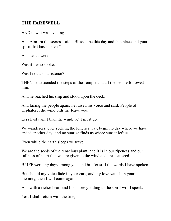#### <span id="page-49-0"></span>**THE FAREWELL**

AND now it was evening.

And Almitra the seeress said, "Blessed be this day and this place and your spirit that has spoken."

And he answered,

Was it I who spoke?

Was I not also a listener?

THEN he descended the steps of the Temple and all the people followed him.

And he reached his ship and stood upon the deck.

And facing the people again, he raised his voice and said: People of Orphalese, the wind bids me leave you.

Less hasty am I than the wind, yet I must go.

We wanderers, ever seeking the lonelier way, begin no day where we have ended another day; and no sunrise finds us where sunset left us.

Even while the earth sleeps we travel.

We are the seeds of the tenacious plant, and it is in our ripeness and our fullness of heart that we are given to the wind and are scattered.

BRIEF were my days among you, and briefer still the words I have spoken.

But should my voice fade in your ears, and my love vanish in your memory, then I will come again,

And with a richer heart and lips more yielding to the spirit will I speak.

Yea, I shall return with the tide,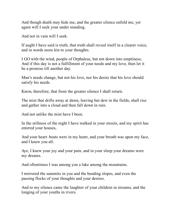And though death may hide me, and the greater silence enfold me, yet again will I seek your under standing.

And not in vain will I seek.

If aught I have said is truth, that truth shall reveal itself in a clearer voice, and in words more kin to your thoughts.

I GO with the wind, people of Orphalese, but not down into emptiness; And if this day is not a fulfillment of your needs and my love, then let it be a promise till another day.

Man's needs change, but not his love, nor his desire that his love should satisfy his needs.

Know, therefore, that from the greater silence I shall return.

The mist that drifts away at dawn, leaving but dew in the fields, shall rise and gather into a cloud and then fall down in rain.

And not unlike the mist have I been.

In the stillness of the night I have walked in your streets, and my spirit has entered your houses,

And your heart–beats were in my heart, and your breath was upon my face, and I knew you all.

Aye, I knew your joy and your pain, and in your sleep your dreams were my dreams.

And oftentimes I was among you a lake among the mountains.

I mirrored the summits in you and the bending slopes, and even the passing flocks of your thoughts and your desires.

And to my silence came the laughter of your children in streams, and the longing of your youths in rivers.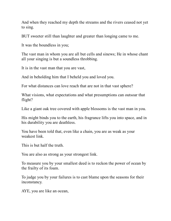And when they reached my depth the streams and the rivers ceased not yet to sing.

BUT sweeter still than laughter and greater than longing came to me.

It was the boundless in you;

The vast man in whom you are all but cells and sinews; He in whose chant all your singing is but a soundless throbbing.

It is in the vast man that you are vast,

And in beholding him that I beheld you and loved you.

For what distances can love reach that are not in that vast sphere?

What visions, what expectations and what presumptions can outsoar that flight?

Like a giant oak tree covered with apple blossoms is the vast man in you.

His might binds you to the earth, his fragrance lifts you into space, and in his durability you are deathless.

You have been told that, even like a chain, you are as weak as your weakest link.

This is but half the truth.

You are also as strong as your strongest link.

To measure you by your smallest deed is to reckon the power of ocean by the frailty of its foam.

To judge you by your failures is to cast blame upon the seasons for their inconstancy.

AYE, you are like an ocean,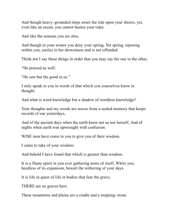And though heavy–grounded ships await the tide upon your shores, yet, even like an ocean, you cannot hasten your tides.

And like the seasons you are also,

And though in your winter you deny your spring, Yet spring, reposing within you, smiles in her drowsiness and is not offended.

Think not I say these things in order that you may say the one to the other,

"He praised us well.

"He saw but the good in us."

I only speak to you in words of that which you yourselves know in thought.

And what is word knowledge but a shadow of wordless knowledge?

Your thoughts and my words are waves from a sealed memory that keeps records of our yesterdays,

And of the ancient days when the earth knew not us nor herself, And of nights when earth was upwrought with confusion.

WISE men have come to you to give you of their wisdom.

I came to take of your wisdom:

And behold I have found that which is greater than wisdom.

It is a flame spirit in you ever gathering more of itself, While you, heedless of its expansion, bewail the withering of your days.

It is life in quest of life in bodies that fear the grave.

THERE are no graves here.

These mountains and plains are a cradle and a stepping–stone.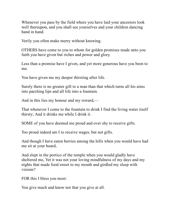Whenever you pass by the field where you have laid your ancestors look well thereupon, and you shall see yourselves and your children dancing hand in hand.

Verily you often make merry without knowing.

OTHERS have come to you to whom for golden promises made unto you faith you have given but riches and power and glory.

Less than a promise have I given, and yet more generous have you been to me.

You have given me my deeper thirsting after life.

Surely there is no greater gift to a man than that which turns all his aims into parching lips and all life into a fountain.

And in this lies my honour and my reward,—

That whenever I come to the fountain to drink I find the living water itself thirsty; And it drinks me while I drink it.

SOME of you have deemed me proud and over shy to receive gifts.

Too proud indeed am I to receive wages, but not gifts.

And though I have eaten berries among the hills when you would have had me sit at your board,

And slept in the portico of the temple when you would gladly have sheltered me, Yet it was not your loving mindfulness of my days and my nights that made food sweet to my mouth and girdled my sleep with visions?

FOR this I bless you most:

You give much and know not that you give at all.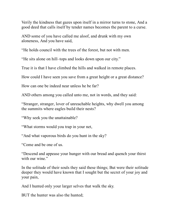Verily the kindness that gazes upon itself in a mirror turns to stone, And a good deed that calls itself by tender names becomes the parent to a curse.

AND some of you have called me aloof, and drunk with my own aloneness, And you have said,

"He holds council with the trees of the forest, but not with men.

"He sits alone on hill–tops and looks down upon our city."

True it is that I have climbed the hills and walked in remote places.

How could I have seen you save from a great height or a great distance?

How can one be indeed near unless he be far?

AND others among you called unto me, not in words, and they said:

"Stranger, stranger, lover of unreachable heights, why dwell you among the summits where eagles build their nests?

"Why seek you the unattainable?

"What storms would you trap in your net,

"And what vaporous birds do you hunt in the sky?

"Come and be one of us.

"Descend and appease your hunger with our bread and quench your thirst with our wine."

In the solitude of their souls they said these things; But were their solitude deeper they would have known that I sought but the secret of your joy and your pain,

And I hunted only your larger selves that walk the sky.

BUT the hunter was also the hunted;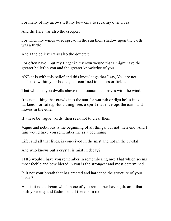For many of my arrows left my bow only to seek my own breast.

And the flier was also the creeper;

For when my wings were spread in the sun their shadow upon the earth was a turtle.

And I the believer was also the doubter;

For often have I put my finger in my own wound that I might have the greater belief in you and the greater knowledge of you.

AND it is with this belief and this knowledge that I say, You are not enclosed within your bodies, nor confined to houses or fields.

That which is you dwells above the mountain and roves with the wind.

It is not a thing that crawls into the sun for warmth or digs holes into darkness for safety, But a thing free, a spirit that envelops the earth and moves in the ether.

IF these be vague words, then seek not to clear them.

Vague and nebulous is the beginning of all things, but not their end, And I fain would have you remember me as a beginning.

Life, and all that lives, is conceived in the mist and not in the crystal.

And who knows but a crystal is mist in decay?

THIS would I have you remember in remembering me: That which seems most feeble and bewildered in you is the strongest and most determined.

Is it not your breath that has erected and hardened the structure of your bones?

And is it not a dream which none of you remember having dreamt, that built your city and fashioned all there is in it?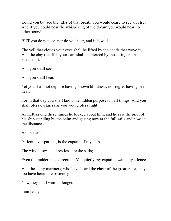Could you but see the tides of that breath you would cease to see all else, And if you could hear the whispering of the dream you would hear no other sound.

BUT you do not see, nor do you hear, and it is well.

The veil that clouds your eyes shall be lifted by the hands that wove it, And the clay that fills your ears shall be pierced by those fingers that kneaded it.

And you shall see.

And you shall hear.

Yet you shall not deplore having known blindness, nor regret having been deaf.

For in that day you shall know the hidden purposes in all things, And you shall bless darkness as you would bless light.

AFTER saying these things he looked about him, and he saw the pilot of his ship standing by the helm and gazing now at the full sails and now at the distance.

And he said:

Patient, over patient, is the captain of my ship.

The wind blows, and restless are the sails;

Even the rudder begs direction; Yet quietly my captain awaits my silence.

And these my mariners, who have heard the choir of the greater sea, they too have heard me patiently.

Now they shall wait no longer.

I am ready.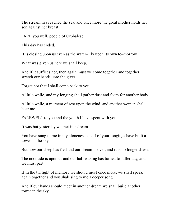The stream has reached the sea, and once more the great mother holds her son against her breast.

FARE you well, people of Orphalese.

This day has ended.

It is closing upon us even as the water–lily upon its own to–morrow.

What was given us here we shall keep,

And if it suffices not, then again must we come together and together stretch our hands unto the giver.

Forget not that I shall come back to you.

A little while, and my longing shall gather dust and foam for another body.

A little while, a moment of rest upon the wind, and another woman shall bear me.

FAREWELL to you and the youth I have spent with you.

It was but yesterday we met in a dream.

You have sung to me in my aloneness, and I of your longings have built a tower in the sky.

But now our sleep has fled and our dream is over, and it is no longer dawn.

The noontide is upon us and our half waking has turned to fuller day, and we must part.

If in the twilight of memory we should meet once more, we shall speak again together and you shall sing to me a deeper song.

And if our hands should meet in another dream we shall build another tower in the sky.